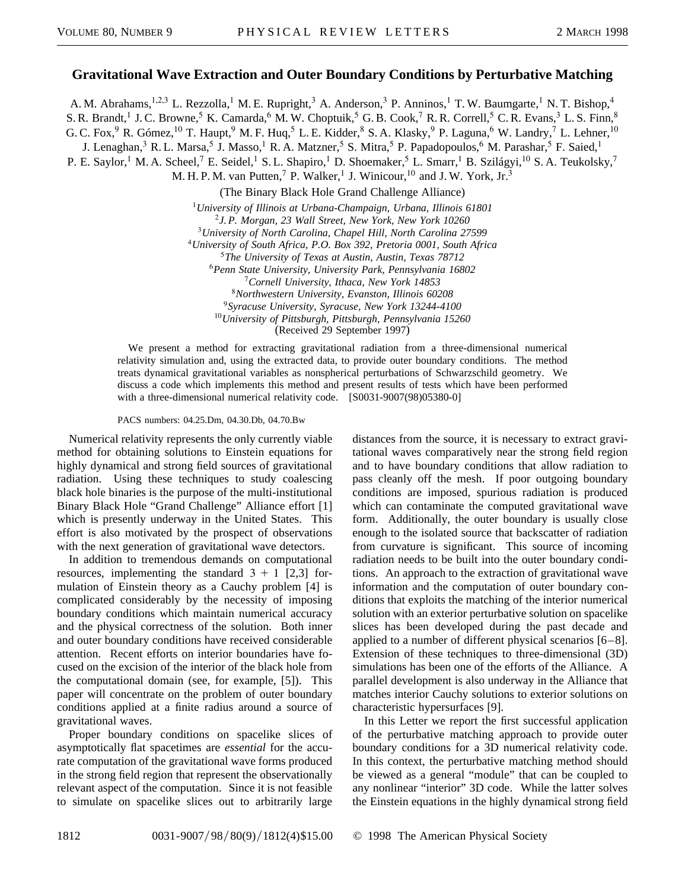## **Gravitational Wave Extraction and Outer Boundary Conditions by Perturbative Matching**

A. M. Abrahams,<sup>1,2,3</sup> L. Rezzolla,<sup>1</sup> M. E. Rupright,<sup>3</sup> A. Anderson,<sup>3</sup> P. Anninos,<sup>1</sup> T. W. Baumgarte,<sup>1</sup> N. T. Bishop,<sup>4</sup> S. R. Brandt,<sup>1</sup> J. C. Browne,<sup>5</sup> K. Camarda,<sup>6</sup> M. W. Choptuik,<sup>5</sup> G. B. Cook,<sup>7</sup> R. R. Correll,<sup>5</sup> C. R. Evans,<sup>3</sup> L. S. Finn,<sup>8</sup> G. C. Fox,  $9$  R. Gómez,  $^{10}$  T. Haupt,  $9$  M. F. Huq,  $5$  L. E. Kidder,  $8$  S. A. Klasky,  $9$  P. Laguna,  $6$  W. Landry,  $7$  L. Lehner,  $^{10}$ J. Lenaghan,<sup>3</sup> R. L. Marsa,<sup>5</sup> J. Masso,<sup>1</sup> R. A. Matzner,<sup>5</sup> S. Mitra,<sup>5</sup> P. Papadopoulos,<sup>6</sup> M. Parashar,<sup>5</sup> F. Saied,<sup>1</sup>

P. E. Saylor,<sup>1</sup> M. A. Scheel,<sup>7</sup> E. Seidel,<sup>1</sup> S. L. Shapiro,<sup>1</sup> D. Shoemaker,<sup>5</sup> L. Smarr,<sup>1</sup> B. Szilágyi,<sup>10</sup> S. A. Teukolsky,<sup>7</sup>

M. H. P. M. van Putten,<sup>7</sup> P. Walker,<sup>1</sup> J. Winicour,<sup>10</sup> and J. W. York, Jr.<sup>3</sup>

(The Binary Black Hole Grand Challenge Alliance)

<sup>1</sup>*University of Illinois at Urbana-Champaign, Urbana, Illinois 61801* <sup>2</sup>*J. P. Morgan, 23 Wall Street, New York, New York 10260*

<sup>3</sup>*University of North Carolina, Chapel Hill, North Carolina 27599*

<sup>4</sup>*University of South Africa, P.O. Box 392, Pretoria 0001, South Africa*

<sup>5</sup>*The University of Texas at Austin, Austin, Texas 78712*

<sup>6</sup>*Penn State University, University Park, Pennsylvania 16802*

<sup>7</sup>*Cornell University, Ithaca, New York 14853*

<sup>8</sup>*Northwestern University, Evanston, Illinois 60208*

<sup>9</sup>*Syracuse University, Syracuse, New York 13244-4100*

<sup>10</sup>*University of Pittsburgh, Pittsburgh, Pennsylvania 15260*

(Received 29 September 1997)

We present a method for extracting gravitational radiation from a three-dimensional numerical relativity simulation and, using the extracted data, to provide outer boundary conditions. The method treats dynamical gravitational variables as nonspherical perturbations of Schwarzschild geometry. We discuss a code which implements this method and present results of tests which have been performed with a three-dimensional numerical relativity code. [S0031-9007(98)05380-0]

PACS numbers: 04.25.Dm, 04.30.Db, 04.70.Bw

Numerical relativity represents the only currently viable method for obtaining solutions to Einstein equations for highly dynamical and strong field sources of gravitational radiation. Using these techniques to study coalescing black hole binaries is the purpose of the multi-institutional Binary Black Hole "Grand Challenge" Alliance effort [1] which is presently underway in the United States. This effort is also motivated by the prospect of observations with the next generation of gravitational wave detectors.

In addition to tremendous demands on computational resources, implementing the standard  $3 + 1$  [2,3] formulation of Einstein theory as a Cauchy problem [4] is complicated considerably by the necessity of imposing boundary conditions which maintain numerical accuracy and the physical correctness of the solution. Both inner and outer boundary conditions have received considerable attention. Recent efforts on interior boundaries have focused on the excision of the interior of the black hole from the computational domain (see, for example, [5]). This paper will concentrate on the problem of outer boundary conditions applied at a finite radius around a source of gravitational waves.

Proper boundary conditions on spacelike slices of asymptotically flat spacetimes are *essential* for the accurate computation of the gravitational wave forms produced in the strong field region that represent the observationally relevant aspect of the computation. Since it is not feasible to simulate on spacelike slices out to arbitrarily large

distances from the source, it is necessary to extract gravitational waves comparatively near the strong field region and to have boundary conditions that allow radiation to pass cleanly off the mesh. If poor outgoing boundary conditions are imposed, spurious radiation is produced which can contaminate the computed gravitational wave form. Additionally, the outer boundary is usually close enough to the isolated source that backscatter of radiation from curvature is significant. This source of incoming radiation needs to be built into the outer boundary conditions. An approach to the extraction of gravitational wave information and the computation of outer boundary conditions that exploits the matching of the interior numerical solution with an exterior perturbative solution on spacelike slices has been developed during the past decade and applied to a number of different physical scenarios [6–8]. Extension of these techniques to three-dimensional (3D) simulations has been one of the efforts of the Alliance. A parallel development is also underway in the Alliance that matches interior Cauchy solutions to exterior solutions on characteristic hypersurfaces [9].

In this Letter we report the first successful application of the perturbative matching approach to provide outer boundary conditions for a 3D numerical relativity code. In this context, the perturbative matching method should be viewed as a general "module" that can be coupled to any nonlinear "interior" 3D code. While the latter solves the Einstein equations in the highly dynamical strong field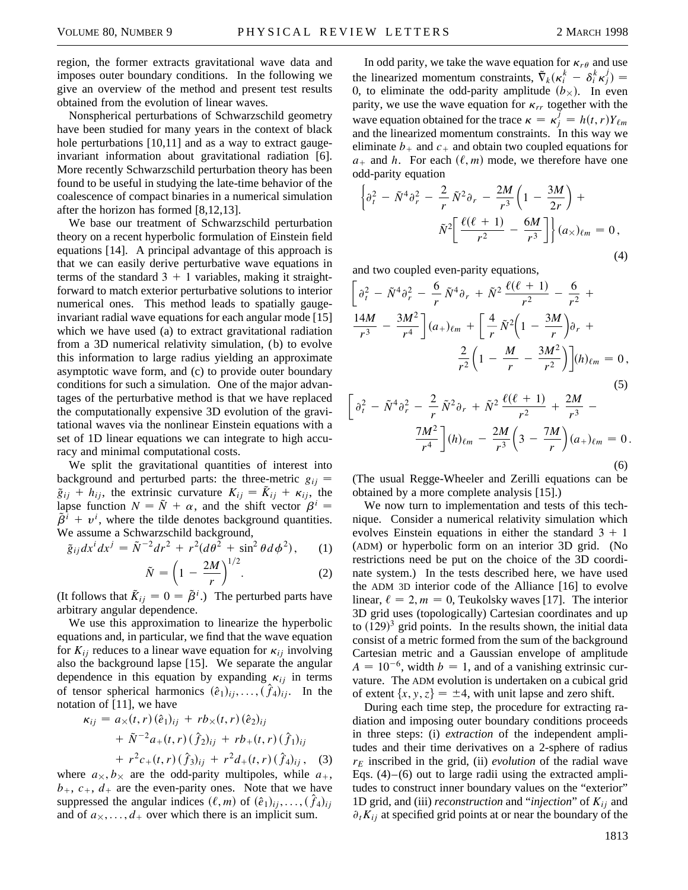region, the former extracts gravitational wave data and imposes outer boundary conditions. In the following we give an overview of the method and present test results obtained from the evolution of linear waves.

Nonspherical perturbations of Schwarzschild geometry have been studied for many years in the context of black hole perturbations [10,11] and as a way to extract gaugeinvariant information about gravitational radiation [6]. More recently Schwarzschild perturbation theory has been found to be useful in studying the late-time behavior of the coalescence of compact binaries in a numerical simulation after the horizon has formed [8,12,13].

We base our treatment of Schwarzschild perturbation theory on a recent hyperbolic formulation of Einstein field equations [14]. A principal advantage of this approach is that we can easily derive perturbative wave equations in terms of the standard  $3 + 1$  variables, making it straightforward to match exterior perturbative solutions to interior numerical ones. This method leads to spatially gaugeinvariant radial wave equations for each angular mode [15] which we have used (a) to extract gravitational radiation from a 3D numerical relativity simulation, (b) to evolve this information to large radius yielding an approximate asymptotic wave form, and (c) to provide outer boundary conditions for such a simulation. One of the major advantages of the perturbative method is that we have replaced the computationally expensive 3D evolution of the gravitational waves via the nonlinear Einstein equations with a set of 1D linear equations we can integrate to high accuracy and minimal computational costs.

We split the gravitational quantities of interest into background and perturbed parts: the three-metric  $g_{ij}$  =  $\tilde{g}_{ij} + h_{ij}$ , the extrinsic curvature  $K_{ij} = \tilde{K}_{ij} + \kappa_{ij}$ , the lapse function  $N = \tilde{N} + \alpha$ , and the shift vector  $\beta^{i} =$  $\tilde{\beta}^{\tilde{i}} + v^i$ , where the tilde denotes background quantities. We assume a Schwarzschild background,

$$
\tilde{g}_{ij}dx^{i}dx^{j} = \tilde{N}^{-2}dr^{2} + r^{2}(d\theta^{2} + \sin^{2}\theta d\phi^{2}),
$$
 (1)

$$
\tilde{N} = \left(1 - \frac{2M}{r}\right)^{1/2}.\tag{2}
$$

(It follows that  $\tilde{K}_{ij} = 0 = \tilde{\beta}^i$ .) The perturbed parts have arbitrary angular dependence.

We use this approximation to linearize the hyperbolic equations and, in particular, we find that the wave equation for  $K_{ij}$  reduces to a linear wave equation for  $\kappa_{ij}$  involving also the background lapse [15]. We separate the angular dependence in this equation by expanding  $\kappa_{ij}$  in terms of tensor spherical harmonics  $(\hat{e}_1)_{ij}, \ldots, (\hat{f}_4)_{ij}$ . In the notation of [11], we have

$$
\kappa_{ij} = a_{\times}(t, r) (\hat{e}_1)_{ij} + rb_{\times}(t, r) (\hat{e}_2)_{ij} + \tilde{N}^{-2} a_{+}(t, r) (\hat{f}_2)_{ij} + rb_{+}(t, r) (\hat{f}_1)_{ij} + r^2 c_{+}(t, r) (\hat{f}_3)_{ij} + r^2 d_{+}(t, r) (\hat{f}_4)_{ij}, \quad (3)
$$

where  $a_{\times}, b_{\times}$  are the odd-parity multipoles, while  $a_{+}$ ,  $b_+$ ,  $c_+$ ,  $d_+$  are the even-parity ones. Note that we have suppressed the angular indices  $(\ell, m)$  of  $(\hat{e}_1)_{ij}, \ldots, (\hat{f}_4)_{ij}$ and of  $a_{\times}, \ldots, a_{+}$  over which there is an implicit sum.

In odd parity, we take the wave equation for  $\kappa_{r\theta}$  and use the linearized momentum constraints,  $\tilde{\nabla}_k (\kappa_i^k - \delta_i^k \kappa_j^j) =$ 0, to eliminate the odd-parity amplitude  $(b_{\times})$ . In even parity, we use the wave equation for  $\kappa_{rr}$  together with the wave equation obtained for the trace  $\kappa = \kappa_j^{\bar{j}} = h(t, r)Y_{\ell m}$ and the linearized momentum constraints. In this way we eliminate  $b_+$  and  $c_+$  and obtain two coupled equations for  $a_+$  and *h*. For each  $(\ell, m)$  mode, we therefore have one odd-parity equation

$$
\left\{\partial_t^2 - \tilde{N}^4 \partial_r^2 - \frac{2}{r} \tilde{N}^2 \partial_r - \frac{2M}{r^3} \left(1 - \frac{3M}{2r}\right) + \tilde{N}^2 \left[\frac{\ell(\ell+1)}{r^2} - \frac{6M}{r^3}\right] \right\} (a_\times)_{\ell m} = 0,
$$
\n(4)

and two coupled even-parity equations,

$$
\left[\partial_t^2 - \tilde{N}^4 \partial_r^2 - \frac{6}{r} \tilde{N}^4 \partial_r + \tilde{N}^2 \frac{\ell(\ell+1)}{r^2} - \frac{6}{r^2} + \frac{14M}{r^3} - \frac{3M^2}{r^4} \right] (a_+)_{\ell m} + \left[ \frac{4}{r} \tilde{N}^2 \left( 1 - \frac{3M}{r} \right) \partial_r + \frac{2}{r^2} \left( 1 - \frac{M}{r} - \frac{3M^2}{r^2} \right) \right] (h)_{\ell m} = 0,
$$
\n
$$
\left[ \int_{\gamma^2}^{\gamma^2} \tilde{N}^4 \gamma^2 \right] \tilde{N}^2 \tilde{N}^2 \gamma + \tilde{N}^2 \frac{\ell(\ell+1)}{r^2} + 2M \tag{5}
$$

$$
\left[\partial_t^2 - \tilde{N}^4 \partial_r^2 - \frac{2}{r} \tilde{N}^2 \partial_r + \tilde{N}^2 \frac{\ell(\ell+1)}{r^2} + \frac{2M}{r^3} - \frac{7M^2}{r^4} \right] (h)_{\ell m} - \frac{2M}{r^3} \left(3 - \frac{7M}{r}\right) (a_+)_{\ell m} = 0.
$$
\n(6)

(The usual Regge-Wheeler and Zerilli equations can be obtained by a more complete analysis [15].)

We now turn to implementation and tests of this technique. Consider a numerical relativity simulation which evolves Einstein equations in either the standard  $3 + 1$ (ADM) or hyperbolic form on an interior 3D grid. (No restrictions need be put on the choice of the 3D coordinate system.) In the tests described here, we have used the ADM 3D interior code of the Alliance [16] to evolve linear,  $\ell = 2, m = 0$ , Teukolsky waves [17]. The interior 3D grid uses (topologically) Cartesian coordinates and up to  $(129)^3$  grid points. In the results shown, the initial data consist of a metric formed from the sum of the background Cartesian metric and a Gaussian envelope of amplitude  $A = 10^{-6}$ , width  $b = 1$ , and of a vanishing extrinsic curvature. The ADM evolution is undertaken on a cubical grid of extent  $\{x, y, z\} = \pm 4$ , with unit lapse and zero shift.

During each time step, the procedure for extracting radiation and imposing outer boundary conditions proceeds in three steps: (i) *extraction* of the independent amplitudes and their time derivatives on a 2-sphere of radius  $r_E$  inscribed in the grid, (ii) *evolution* of the radial wave Eqs.  $(4)$ – $(6)$  out to large radii using the extracted amplitudes to construct inner boundary values on the "exterior" 1D grid, and (iii) *reconstruction* and "*injection*" of *Kij* and  $\partial_t K_{ij}$  at specified grid points at or near the boundary of the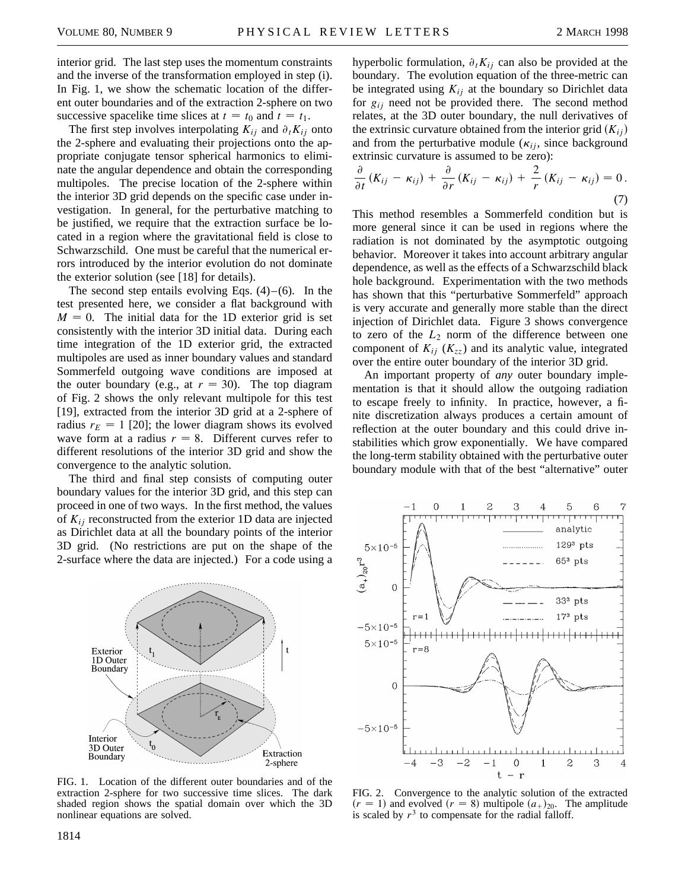interior grid. The last step uses the momentum constraints and the inverse of the transformation employed in step (i). In Fig. 1, we show the schematic location of the different outer boundaries and of the extraction 2-sphere on two successive spacelike time slices at  $t = t_0$  and  $t = t_1$ .

The first step involves interpolating  $K_{ij}$  and  $\partial_t K_{ij}$  onto the 2-sphere and evaluating their projections onto the appropriate conjugate tensor spherical harmonics to eliminate the angular dependence and obtain the corresponding multipoles. The precise location of the 2-sphere within the interior 3D grid depends on the specific case under investigation. In general, for the perturbative matching to be justified, we require that the extraction surface be located in a region where the gravitational field is close to Schwarzschild. One must be careful that the numerical errors introduced by the interior evolution do not dominate the exterior solution (see [18] for details).

The second step entails evolving Eqs.  $(4)$ – $(6)$ . In the test presented here, we consider a flat background with  $M = 0$ . The initial data for the 1D exterior grid is set consistently with the interior 3D initial data. During each time integration of the 1D exterior grid, the extracted multipoles are used as inner boundary values and standard Sommerfeld outgoing wave conditions are imposed at the outer boundary (e.g., at  $r = 30$ ). The top diagram of Fig. 2 shows the only relevant multipole for this test [19], extracted from the interior 3D grid at a 2-sphere of radius  $r_E = 1$  [20]; the lower diagram shows its evolved wave form at a radius  $r = 8$ . Different curves refer to different resolutions of the interior 3D grid and show the convergence to the analytic solution.

The third and final step consists of computing outer boundary values for the interior 3D grid, and this step can proceed in one of two ways. In the first method, the values of *Kij* reconstructed from the exterior 1D data are injected as Dirichlet data at all the boundary points of the interior 3D grid. (No restrictions are put on the shape of the 2-surface where the data are injected.) For a code using a



FIG. 1. Location of the different outer boundaries and of the extraction 2-sphere for two successive time slices. The dark shaded region shows the spatial domain over which the 3D nonlinear equations are solved.

hyperbolic formulation,  $\partial_t K_{ij}$  can also be provided at the boundary. The evolution equation of the three-metric can be integrated using  $K_{ij}$  at the boundary so Dirichlet data for *gij* need not be provided there. The second method relates, at the 3D outer boundary, the null derivatives of the extrinsic curvature obtained from the interior grid  $(K_{ij})$ and from the perturbative module  $(\kappa_{ij})$ , since background extrinsic curvature is assumed to be zero):

$$
\frac{\partial}{\partial t}\left(K_{ij}-\kappa_{ij}\right)+\frac{\partial}{\partial r}\left(K_{ij}-\kappa_{ij}\right)+\frac{2}{r}\left(K_{ij}-\kappa_{ij}\right)=0.
$$
\n(7)

This method resembles a Sommerfeld condition but is more general since it can be used in regions where the radiation is not dominated by the asymptotic outgoing behavior. Moreover it takes into account arbitrary angular dependence, as well as the effects of a Schwarzschild black hole background. Experimentation with the two methods has shown that this "perturbative Sommerfeld" approach is very accurate and generally more stable than the direct injection of Dirichlet data. Figure 3 shows convergence to zero of the *L*<sup>2</sup> norm of the difference between one component of  $K_{ij}$  ( $K_{zz}$ ) and its analytic value, integrated over the entire outer boundary of the interior 3D grid.

An important property of *any* outer boundary implementation is that it should allow the outgoing radiation to escape freely to infinity. In practice, however, a finite discretization always produces a certain amount of reflection at the outer boundary and this could drive instabilities which grow exponentially. We have compared the long-term stability obtained with the perturbative outer boundary module with that of the best "alternative" outer



FIG. 2. Convergence to the analytic solution of the extracted  $(r = 1)$  and evolved  $(r = 8)$  multipole  $(a_{+})_{20}$ . The amplitude is scaled by  $r^3$  to compensate for the radial falloff.